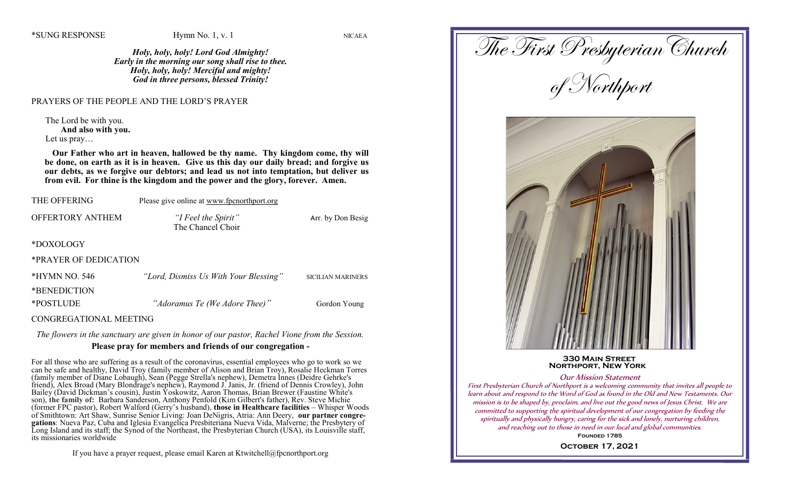*Holy, holy, holy! Lord God Almighty! Early in the morning our song shall rise to thee. Holy, holy, holy! Merciful and mighty! God in three persons, blessed Trinity!*

#### PRAYERS OF THE PEOPLE AND THE LORD'S PRAYER

The Lord be with you. **And also with you.** Let us pray…

 **Our Father who art in heaven, hallowed be thy name. Thy kingdom come, thy will be done, on earth as it is in heaven. Give us this day our daily bread; and forgive us our debts, as we forgive our debtors; and lead us not into temptation, but deliver us from evil. For thine is the kingdom and the power and the glory, forever. Amen.**

| THE OFFERING          | Please give online at www.fpcnorthport.org |                          |
|-----------------------|--------------------------------------------|--------------------------|
| OFFERTORY ANTHEM      | "I Feel the Spirit"<br>The Chancel Choir   | Arr. by Don Besig        |
| *DOXOLOGY             |                                            |                          |
| *PRAYER OF DEDICATION |                                            |                          |
| *HYMN NO. 546         | "Lord, Dismiss Us With Your Blessing"      | <b>SICILIAN MARINERS</b> |
| *BENEDICTION          |                                            |                          |
| $+$                   | $\cdots$                                   |                          |

\*POSTLUDE *"Adoramus Te (We Adore Thee)"* Gordon Young

CONGREGATIONAL MEETING

*The flowers in the sanctuary are given in honor of our pastor, Rachel Vione from the Session.*

# **Please pray for members and friends of our congregation -**

For all those who are suffering as a result of the coronavirus, essential employees who go to work so we can be safe and healthy, David Troy (family member of Alison and Brian Troy), Rosalie Heckman Torres (family member of Diane Lobaugh), Sean (Pegge Strella's nephew), Demetra Innes (Deidre Gehrke's friend), Alex Broad (Mary Blondrage's nephew), Raymond J. Janis, Jr. (friend of Dennis Crowley), John Bailey (David Dickman's cousin), Justin Yoskowitz, Aaron Thomas, Brian Brewer (Faustine White's son), **the family of:** Barbara Sanderson, Anthony Penfold (Kim Gilbert's father), Rev. Steve Michie (former FPC pastor), Robert Walford (Gerry's husband), **those in Healthcare facilities** – Whisper Woods of Smithtown: Art Shaw, Sunrise Senior Living: Joan DeNigris, Atria: Ann Deery, **our partner congregations**: Nueva Paz, Cuba and Iglesia Evangelica Presbiteriana Nueva Vida, Malverne; the Presbytery of Long Island and its staff; the Synod of the Northeast, the Presbyterian Church (USA), its Louisville staff, its missionaries worldwide

If you have a prayer request, please email Karen at Ktwitchell@fpcnorthport.org

The First Presbyterian Church of Northport  **330 Main Street Northport, New York** Our Mission Statement

First Presbyterian Church of Northport is a welcoming community that invites all people to learn about and respond to the Word of God as found in the Old and New Testaments. Our mission is to be shaped by, proclaim, and live out the good news of Jesus Christ. We are committed to supporting the spiritual development of our congregation by feeding the spiritually and physically hungry, caring for the sick and lonely, nurturing children, and reaching out to those in need in our local and global communities.

> **Founded 1785 October 17, 2021**